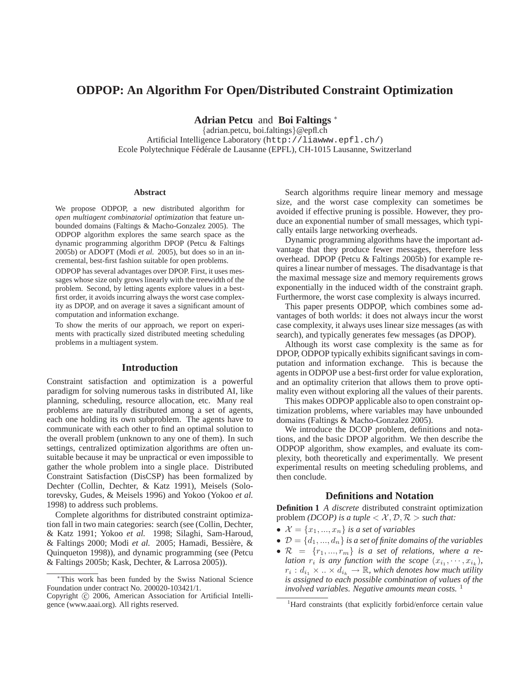# **ODPOP: An Algorithm For Open/Distributed Constraint Optimization**

**Adrian Petcu** and **Boi Faltings** <sup>∗</sup>

{adrian.petcu, boi.faltings}@epfl.ch Artificial Intelligence Laboratory (http://liawww.epfl.ch/) Ecole Polytechnique Fédérale de Lausanne (EPFL), CH-1015 Lausanne, Switzerland

#### **Abstract**

We propose ODPOP, a new distributed algorithm for *open multiagent combinatorial optimization* that feature unbounded domains (Faltings & Macho-Gonzalez 2005). The ODPOP algorithm explores the same search space as the dynamic programming algorithm DPOP (Petcu & Faltings 2005b) or ADOPT (Modi *et al.* 2005), but does so in an incremental, best-first fashion suitable for open problems.

ODPOP has several advantages over DPOP. First, it uses messages whose size only grows linearly with the treewidth of the problem. Second, by letting agents explore values in a bestfirst order, it avoids incurring always the worst case complexity as DPOP, and on average it saves a significant amount of computation and information exchange.

To show the merits of our approach, we report on experiments with practically sized distributed meeting scheduling problems in a multiagent system.

### **Introduction**

Constraint satisfaction and optimization is a powerful paradigm for solving numerous tasks in distributed AI, like planning, scheduling, resource allocation, etc. Many real problems are naturally distributed among a set of agents, each one holding its own subproblem. The agents have to communicate with each other to find an optimal solution to the overall problem (unknown to any one of them). In such settings, centralized optimization algorithms are often unsuitable because it may be unpractical or even impossible to gather the whole problem into a single place. Distributed Constraint Satisfaction (DisCSP) has been formalized by Dechter (Collin, Dechter, & Katz 1991), Meisels (Solotorevsky, Gudes, & Meisels 1996) and Yokoo (Yokoo *et al.* 1998) to address such problems.

Complete algorithms for distributed constraint optimization fall in two main categories: search (see (Collin, Dechter, & Katz 1991; Yokoo *et al.* 1998; Silaghi, Sam-Haroud, & Faltings 2000; Modi *et al.* 2005; Hamadi, Bessiere, & ` Quinqueton 1998)), and dynamic programming (see (Petcu & Faltings 2005b; Kask, Dechter, & Larrosa 2005)).

Search algorithms require linear memory and message size, and the worst case complexity can sometimes be avoided if effective pruning is possible. However, they produce an exponential number of small messages, which typically entails large networking overheads.

Dynamic programming algorithms have the important advantage that they produce fewer messages, therefore less overhead. DPOP (Petcu & Faltings 2005b) for example requires a linear number of messages. The disadvantage is that the maximal message size and memory requirements grows exponentially in the induced width of the constraint graph. Furthermore, the worst case complexity is always incurred.

This paper presents ODPOP, which combines some advantages of both worlds: it does not always incur the worst case complexity, it always uses linear size messages (as with search), and typically generates few messages (as DPOP).

Although its worst case complexity is the same as for DPOP, ODPOP typically exhibits significant savings in computation and information exchange. This is because the agents in ODPOP use a best-first order for value exploration, and an optimality criterion that allows them to prove optimality even without exploring all the values of their parents.

This makes ODPOP applicable also to open constraint optimization problems, where variables may have unbounded domains (Faltings & Macho-Gonzalez 2005).

We introduce the DCOP problem, definitions and notations, and the basic DPOP algorithm. We then describe the ODPOP algorithm, show examples, and evaluate its complexity, both theoretically and experimentally. We present experimental results on meeting scheduling problems, and then conclude.

### **Definitions and Notation**

**Definition 1** *A discrete* distributed constraint optimization problem *(DCOP)* is a tuple  $\langle X, \mathcal{D}, \mathcal{R} \rangle$  *such that:* 

- $\mathcal{X} = \{x_1, ..., x_n\}$  *is a set of variables*
- $\mathcal{D} = \{d_1, ..., d_n\}$  *is a set of finite domains of the variables*
- $\mathcal{R} = \{r_1, ..., r_m\}$  *is a set of relations, where a relation*  $r_i$  *is any function with the scope*  $(x_{i_1}, \dots, x_{i_k})$ ,  $r_i : d_{i_1} \times ... \times d_{i_k} \to \mathbb{R}$ , which denotes how much utility *is assigned to each possible combination of values of the involved variables. Negative amounts mean costs.* <sup>1</sup>

<sup>∗</sup>This work has been funded by the Swiss National Science Foundation under contract No. 200020-103421/1.

Copyright (c) 2006, American Association for Artificial Intelligence (www.aaai.org). All rights reserved.

<sup>&</sup>lt;sup>1</sup>Hard constraints (that explicitly forbid/enforce certain value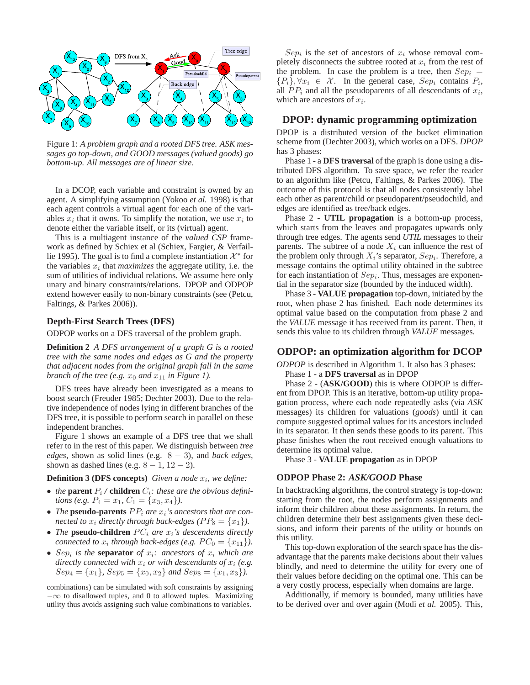

Figure 1: *A problem graph and a rooted DFS tree. ASK messages go top-down, and GOOD messages (valued goods) go bottom-up. All messages are of linear size.*

In a DCOP, each variable and constraint is owned by an agent. A simplifying assumption (Yokoo *et al.* 1998) is that each agent controls a virtual agent for each one of the variables  $x_i$  that it owns. To simplify the notation, we use  $x_i$  to denote either the variable itself, or its (virtual) agent.

This is a multiagent instance of the *valued CSP* framework as defined by Schiex et al (Schiex, Fargier, & Verfaillie 1995). The goal is to find a complete instantiation  $\mathcal{X}^*$  for the variables  $x_i$  that *maximizes* the aggregate utility, i.e. the sum of utilities of individual relations. We assume here only unary and binary constraints/relations. DPOP and ODPOP extend however easily to non-binary constraints (see (Petcu, Faltings, & Parkes 2006)).

### **Depth-First Search Trees (DFS)**

ODPOP works on a DFS traversal of the problem graph.

**Definition 2** *A DFS arrangement of a graph G is a rooted tree with the same nodes and edges as G and the property that adjacent nodes from the original graph fall in the same branch of the tree (e.g.*  $x_0$  *and*  $x_{11}$  *in Figure 1).* 

DFS trees have already been investigated as a means to boost search (Freuder 1985; Dechter 2003). Due to the relative independence of nodes lying in different branches of the DFS tree, it is possible to perform search in parallel on these independent branches.

Figure 1 shows an example of a DFS tree that we shall refer to in the rest of this paper. We distinguish between *tree edges*, shown as solid lines (e.g. 8 − 3), and *back edges*, shown as dashed lines (e.g.  $8 - 1$ ,  $12 - 2$ ).

### **Definition 3 (DFS concepts)** *Given a node*  $x_i$ *, we define:*

- *the* **parent**  $P_i$  / **children**  $C_i$ *: these are the obvious definitions (e.g.*  $P_4 = x_1$ ,  $C_1 = \{x_3, x_4\}$ ).
- *The* **pseudo-parents**  $PP_i$  *are*  $x_i$ *'s ancestors that are connected to*  $x_i$  *directly through back-edges (PP<sub>8</sub> = {* $x_1$ *}).*
- *The* **pseudo-children**  $PC_i$  are  $x_i$ 's descendents directly *connected to*  $x_i$  through back-edges (e.g.  $PC_0 = \{x_{11}\}\.$
- $Sep<sub>i</sub>$  *is the separator of*  $x_i$ *: ancestors of*  $x_i$  *which are directly connected with*  $x_i$  *or with descendants of*  $x_i$  (*e.g.*  $Sep_4 = \{x_1\}$ ,  $Sep_5 = \{x_0, x_2\}$  and  $Sep_8 = \{x_1, x_3\}$ .

 $Sep<sub>i</sub>$  is the set of ancestors of  $x<sub>i</sub>$  whose removal completely disconnects the subtree rooted at  $x_i$  from the rest of the problem. In case the problem is a tree, then  $Sep<sub>i</sub>$  =  $\{P_i\}, \forall x_i \in \mathcal{X}$ . In the general case,  $Sep_i$  contains  $P_i$ , all  $PP_i$  and all the pseudoparents of all descendants of  $x_i$ , which are ancestors of  $x_i$ .

### **DPOP: dynamic programming optimization**

DPOP is a distributed version of the bucket elimination scheme from (Dechter 2003), which works on a DFS. *DPOP* has 3 phases:

Phase 1 - a **DFS traversal** of the graph is done using a distributed DFS algorithm. To save space, we refer the reader to an algorithm like (Petcu, Faltings, & Parkes 2006). The outcome of this protocol is that all nodes consistently label each other as parent/child or pseudoparent/pseudochild, and edges are identified as tree/back edges.

Phase 2 - **UTIL propagation** is a bottom-up process, which starts from the leaves and propagates upwards only through tree edges. The agents send *UTIL* messages to their parents. The subtree of a node  $X_i$  can influence the rest of the problem only through  $X_i$ 's separator,  $Sep_i$ . Therefore, a message contains the optimal utility obtained in the subtree for each instantiation of  $Sep<sub>i</sub>$ . Thus, messages are exponential in the separator size (bounded by the induced width).

Phase 3 - **VALUE propagation** top-down, initiated by the root, when phase 2 has finished. Each node determines its optimal value based on the computation from phase 2 and the *VALUE* message it has received from its parent. Then, it sends this value to its children through *VALUE* messages.

### **ODPOP: an optimization algorithm for DCOP**

*ODPOP* is described in Algorithm 1. It also has 3 phases:

Phase 1 - a **DFS traversal** as in DPOP

Phase 2 - (**ASK/GOOD**) this is where ODPOP is different from DPOP. This is an iterative, bottom-up utility propagation process, where each node repeatedly asks (via *ASK* messages) its children for valuations (*goods*) until it can compute suggested optimal values for its ancestors included in its separator. It then sends these goods to its parent. This phase finishes when the root received enough valuations to determine its optimal value.

Phase 3 - **VALUE propagation** as in DPOP

### **ODPOP Phase 2:** *ASK/GOOD* **Phase**

In backtracking algorithms, the control strategy is top-down: starting from the root, the nodes perform assignments and inform their children about these assignments. In return, the children determine their best assignments given these decisions, and inform their parents of the utility or bounds on this utility.

This top-down exploration of the search space has the disadvantage that the parents make decisions about their values blindly, and need to determine the utility for every one of their values before deciding on the optimal one. This can be a very costly process, especially when domains are large.

Additionally, if memory is bounded, many utilities have to be derived over and over again (Modi *et al.* 2005). This,

combinations) can be simulated with soft constraints by assigning  $-\infty$  to disallowed tuples, and 0 to allowed tuples. Maximizing utility thus avoids assigning such value combinations to variables.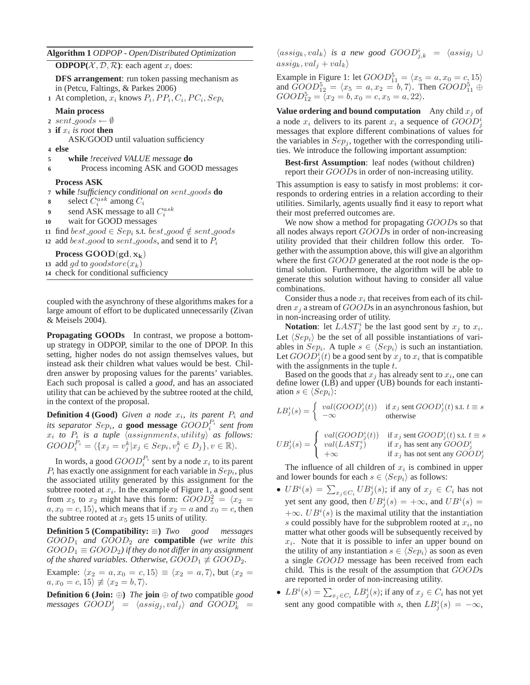#### **Algorithm 1** *ODPOP - Open/Distributed Optimization*

**ODPOP** $(X, \mathcal{D}, \mathcal{R})$ : each agent  $x_i$  does:

**DFS arrangement**: run token passing mechanism as in (Petcu, Faltings, & Parkes 2006)

**1** At completion,  $x_i$  knows  $P_i$ ,  $PP_i$ ,  $C_i$ ,  $PC_i$ ,  $Sep_i$ 

#### **Main process**

2 sent\_goods  $\leftarrow \emptyset$ 

**3 if**  $x_i$  is root **then** 

ASK/GOOD until valuation sufficiency

- **4 else**
- **<sup>5</sup> while** *!received VALUE message* **do**
- **6** Process incoming ASK and GOOD messages

#### **Process ASK**

- **<sup>7</sup> while** *!sufficiency conditional on* sent goods **do**
- **8** select  $C_i^{ask}$  among  $C_i$
- **9** send ASK message to all  $C_i^{ask}$
- **10** wait for GOOD messages
- **11** find best\_good ∈ Sep<sub>i</sub> s.t. best\_good  $\notin$  sent\_goods
- 12 add best<sub>-good</sub> to sent<sub>-goods</sub>, and send it to  $P_i$

**Process**  $\text{GOOD}(\text{gd}, \mathbf{x}_k)$ 

- **13** add gd to goodstore $(x_k)$
- **14** check for conditional sufficiency

coupled with the asynchrony of these algorithms makes for a large amount of effort to be duplicated unnecessarily (Zivan & Meisels 2004).

**Propagating GOODs** In contrast, we propose a bottomup strategy in ODPOP, similar to the one of DPOP. In this setting, higher nodes do not assign themselves values, but instead ask their children what values would be best. Children answer by proposing values for the parents' variables. Each such proposal is called a *good*, and has an associated utility that can be achieved by the subtree rooted at the child, in the context of the proposal.

**Definition 4 (Good)** Given a node  $x_i$ , its parent  $P_i$  and *its separator Sep<sub>i</sub>, a* **good message**  $GOOD_i^{P_i}$  *sent from*  $x_i$  to  $P_i$  is a tuple  $\langle assignments,utility \rangle$  as follows:  $GOOD_i^{P_i} = \langle \{x_j = v_j^k | x_j \in Sep_i, v_j^k \in D_j \}, v \in \mathbb{R} \rangle.$ 

In words, a good  $GOOD_i^{\mathcal{P}_i}$  sent by a node  $x_i$  to its parent  $P_i$  has exactly one assignment for each variable in  $Sep_i$ , plus the associated utility generated by this assignment for the subtree rooted at  $x_i$ . In the example of Figure 1, a good sent from  $x_5$  to  $x_2$  might have this form:  $\ddot{GOO}D_5^2 = \langle x_2 \rangle =$  $a, x_0 = c, 15$ , which means that if  $x_2 = a$  and  $x_0 = c$ , then the subtree rooted at  $x_5$  gets 15 units of utility.

**Definition 5 (Compatibility:** ≡**)** *Two good messages*  $GOOD<sub>1</sub>$  *and*  $GOOD<sub>2</sub>$  *are* **compatible** *(we write this*  $GOOD_1 \equiv GOOD_2$ ) if they do not differ in any assignment *of the shared variables. Otherwise,*  $GOOD_1 \not\equiv GOD_2$ .

Example:  $\langle x_2 = a, x_0 = c, 15 \rangle \equiv \langle x_2 = a, 7 \rangle$ , but  $\langle x_2 = a \rangle$  $a, x_0 = c, 15 \ncong \langle x_2 = b, 7 \rangle.$ 

**Definition 6 (Join:** ⊕**)** *The* **join** ⊕ *of two* compatible *good*  $\textit{messages} \ \textit{GOOD}_j^i \ = \ \langle \textit{assign}, \textit{val}_j \rangle \ \ \textit{and} \ \ \tilde{\textit{GOOD}}_k^i \ = \emptyset$ 

 $\langle assign_k,val_k\rangle$  *is a new good*  $GOOD_{j,k}^i = \langle assign_j \cup$  $assign_k, val_j + val_k$ 

Example in Figure 1: let  $GOOD_{11}^5 = \langle x_5 = a, x_0 = c, 15 \rangle$ and  $\overrightarrow{GOOD}_{12}^5 = \langle x_5 = a, x_2 = b, 7 \rangle$ . Then  $\overrightarrow{GOOD}_{11}^5 \oplus$  $GOOD_{12}^5 = \langle x_2 = b, x_0 = c, x_5 = a, 22 \rangle.$ 

**Value ordering and bound computation** Any child  $x_i$  of a node  $x_i$  delivers to its parent  $x_i$  a sequence of  $GOOD_j^i$ messages that explore different combinations of values for the variables in  $Sep<sub>i</sub>$ , together with the corresponding utilities. We introduce the following important assumption:

**Best-first Assumption**: leaf nodes (without children) report their GOODs in order of non-increasing utility.

This assumption is easy to satisfy in most problems: it corresponds to ordering entries in a relation according to their utilities. Similarly, agents usually find it easy to report what their most preferred outcomes are.

We now show a method for propagating GOODs so that all nodes always report GOODs in order of non-increasing utility provided that their children follow this order. Together with the assumption above, this will give an algorithm where the first GOOD generated at the root node is the optimal solution. Furthermore, the algorithm will be able to generate this solution without having to consider all value combinations.

Consider thus a node  $x_i$  that receives from each of its children  $x_i$  a stream of  $GOOD$ s in an asynchronous fashion, but in non-increasing order of utility.

**Notation**: let  $LAST_j^i$  be the last good sent by  $x_j$  to  $x_i$ . Let  $\langle Sep_i\rangle$  be the set of all possible instantiations of variables in  $Sep_i$ . A tuple  $s \in \langle Sep_i\rangle$  is such an instantiation. Let  $GOOD_j^i(t)$  be a good sent by  $x_j$  to  $x_i$  that is compatible with the assignments in the tuple  $t$ .

Based on the goods that  $x_j$  has already sent to  $x_i$ , one can define lower (LB) and upper (UB) bounds for each instantiation  $s \in \langle Sep_i\rangle$ :

$$
LB_j^i(s) = \begin{cases} \text{val}(GOOD_j^i(t)) & \text{if } x_j \text{ sent }GOOD_j^i(t) \text{ s.t. } t \equiv s \\ -\infty & \text{otherwise} \end{cases}
$$

$$
UB_j^i(s) = \begin{cases} \text{ } val(GOOD_j^i(t)) & \text{if } x_j \text{ sent } GOOD_j^i(t) \text{ s.t. } t \equiv s \\ \text{ } val(LAST_j^i) & \text{if } x_j \text{ has sent any } GOOD_j^i \\ +\infty & \text{if } x_j \text{ has not sent any } GOOD_j^i \end{cases}
$$

The influence of all children of  $x_i$  is combined in upper and lower bounds for each  $s \in \langle Sep_i\rangle$  as follows:

- $UB^i(s) = \sum_{x_j \in C_i} UB^i_j(s)$ ; if any of  $x_j \in C_i$  has not yet sent any good, then  $UB_j^i(s) = +\infty$ , and  $UB^i(s) =$  $+\infty$ .  $UB^{i}(s)$  is the maximal utility that the instantiation s could possibly have for the subproblem rooted at  $x_i$ , no matter what other goods will be subsequently received by  $x_i$ . Note that it is possible to infer an upper bound on the utility of any instantiation  $s \in \langle Sep_i\rangle$  as soon as even a single GOOD message has been received from each child. This is the result of the assumption that GOODs are reported in order of non-increasing utility.
- $LB^i(s) = \sum_{x_j \in C_i} LB^i_j(s)$ ; if any of  $x_j \in C_i$  has not yet sent any good compatible with s, then  $LB_j^i(s) = -\infty$ ,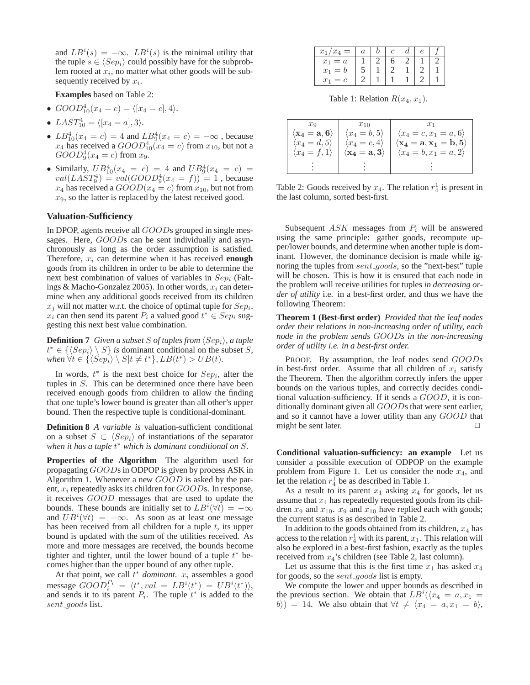and  $LB^{i}(s) = -\infty$ .  $LB^{i}(s)$  is the minimal utility that the tuple  $s \in \langle Sep_i\rangle$  could possibly have for the subproblem rooted at  $x_i$ , no matter what other goods will be subsequently received by  $x_i$ .

**Examples** based on Table 2:

- $GOOD_{10}^4(x_4 = c) = \langle [x_4 = c], 4 \rangle.$
- LAST $_{10}^{4} = \langle [x_4 = a], 3 \rangle$ .
- $LB_{10}^{4}(x_4 = c) = 4$  and  $LB_{9}^{4}(x_4 = c) = -\infty$ , because  $x_4$  has received a  $GOOD_{10}^4(x_4 = c)$  from  $x_{10}$ , but not a  $GOOD_{9}^{4}(x_{4}=c)$  from  $x_{9}$ .
- Similarly,  $UB_{10}^4(x_4 = c) = 4$  and  $UB_9^4(x_4 = c) =$  $val(LAST_9^4) = val(GOOD_9^4(x_4 = f)) = 1$ , because  $x_4$  has received a  $GOOD(x_4 = c)$  from  $x_{10}$ , but not from  $x_9$ , so the latter is replaced by the latest received good.

### **Valuation-Sufficiency**

In DPOP, agents receive all *GOODs* grouped in single messages. Here, GOODs can be sent individually and asynchronously as long as the order assumption is satisfied. Therefore,  $x_i$  can determine when it has received **enough** goods from its children in order to be able to determine the next best combination of values of variables in  $Sep<sub>i</sub>$  (Faltings & Macho-Gonzalez 2005). In other words,  $x_i$  can determine when any additional goods received from its children  $x_j$  will not matter w.r.t. the choice of optimal tuple for  $Sep_i$ .  $x_i$  can then send its parent  $P_i$  a valued good  $t^* \in Sep_i$  suggesting this next best value combination.

**Definition 7** *Given a subset S of tuples from*  $\langle Sep_i\rangle$ *, a tuple*  $t^* \in {\langle \langle Sep_i \rangle \setminus S}$  *is* dominant conditional on the subset S,  $when \forall t \in \{\langle Sep_i \rangle \setminus S | t \neq t^*\}, LB(t^*) > UB(t).$ 

In words,  $t^*$  is the next best choice for  $Sep_i$ , after the tuples in S. This can be determined once there have been received enough goods from children to allow the finding that one tuple's lower bound is greater than all other's upper bound. Then the respective tuple is conditional-dominant.

**Definition 8** *A variable is* valuation-sufficient conditional on a subset  $S \subset \langle Sep_i\rangle$  of instantiations of the separator *when it has a tuple* t <sup>∗</sup> *which is dominant conditional on* S*.*

**Properties of the Algorithm** The algorithm used for propagating GOODs in ODPOP is given by process ASK in Algorithm 1. Whenever a new GOOD is asked by the parent,  $x_i$  repeatedly asks its children for  $GOODs$ . In response, it receives GOOD messages that are used to update the bounds. These bounds are initially set to  $LB^{i}(\forall t) = -\infty$ and  $UB<sup>i</sup>(\forall t) = +\infty$ . As soon as at least one message has been received from all children for a tuple  $t$ , its upper bound is updated with the sum of the utilities received. As more and more messages are received, the bounds become tighter and tighter, until the lower bound of a tuple  $t^*$  becomes higher than the upper bound of any other tuple.

At that point, we call  $t^*$  *dominant.*  $x_i$  assembles a good message  $GOOD_i^{\mathcal{P}_i} = \langle t^*, val = LB^i(t^*) = UB^i(t^*)\rangle,$ and sends it to its parent  $P_i$ . The tuple  $t^*$  is added to the sent goods list.

| $x_1/x_4$<br>$=$ |  |  |  |
|------------------|--|--|--|
| $x_1 = a$        |  |  |  |
| $x_1 = b$        |  |  |  |
| $x_1$<br>$= c$   |  |  |  |

Table 1: Relation  $R(x_4, x_1)$ .

| $x_{9}$                                              | $x_{10}$                                            | $x_1$                                                                                     |
|------------------------------------------------------|-----------------------------------------------------|-------------------------------------------------------------------------------------------|
| $\langle \mathrm{x}_4=\mathrm{a},\mathrm{6} \rangle$ | $\langle x_4=b,5\rangle$                            | $\langle x_4=c, x_1=a, 6 \rangle$                                                         |
| $\langle x_4=d,5\rangle$                             | $\langle x_4=c,4\rangle$                            | $\left\langle \mathbf{x_4}=\mathbf{a}, \mathbf{x_1}=\mathbf{b}, \mathbf{5} \right\rangle$ |
| $\langle x_4 = f, 1 \rangle$                         | $\langle \mathbf{x_4}=\mathbf{a},\mathbf{3}\rangle$ | $\langle x_4 = b, x_1 = a, 2 \rangle$                                                     |
|                                                      |                                                     |                                                                                           |
|                                                      |                                                     |                                                                                           |

Table 2: Goods received by  $x_4$ . The relation  $r_4^1$  is present in the last column, sorted best-first.

Subsequent  $ASK$  messages from  $P_i$  will be answered using the same principle: gather goods, recompute upper/lower bounds, and determine when another tuple is dominant. However, the dominance decision is made while ignoring the tuples from sent\_goods, so the "next-best" tuple will be chosen. This is how it is ensured that each node in the problem will receive utilities for tuples *in decreasing order of utility* i.e. in a best-first order, and thus we have the following Theorem:

**Theorem 1 (Best-first order)** *Provided that the leaf nodes order their relations in non-increasing order of utility, each node in the problem sends* GOOD*s in the non-increasing order of utility i.e. in a best-first order.*

PROOF. By assumption, the leaf nodes send GOODs in best-first order. Assume that all children of  $x_i$  satisfy the Theorem. Then the algorithm correctly infers the upper bounds on the various tuples, and correctly decides conditional valuation-sufficiency. If it sends a GOOD, it is conditionally dominant given all GOODs that were sent earlier, and so it cannot have a lower utility than any GOOD that might be sent later.  $\Box$ 

**Conditional valuation-sufficiency: an example** Let us consider a possible execution of ODPOP on the example problem from Figure 1. Let us consider the node  $x_4$ , and let the relation  $r_4^1$  be as described in Table 1.

As a result to its parent  $x_1$  asking  $x_4$  for goods, let us assume that  $x_4$  has repeatedly requested goods from its children  $x_9$  and  $x_{10}$ .  $x_9$  and  $x_{10}$  have replied each with goods; the current status is as described in Table 2.

In addition to the goods obtained from its children,  $x_4$  has access to the relation  $r_4^1$  with its parent,  $x_1$ . This relation will also be explored in a best-first fashion, exactly as the tuples received from  $x_4$ 's children (see Table 2, last column).

Let us assume that this is the first time  $x_1$  has asked  $x_4$ for goods, so the *sent\_goods* list is empty.

We compute the lower and upper bounds as described in the previous section. We obtain that  $LB^{i}(\langle x_4 = a, x_1 = a \rangle)$  $b) = 14$ . We also obtain that  $\forall t \neq \langle x_4 = a, x_1 = b \rangle$ ,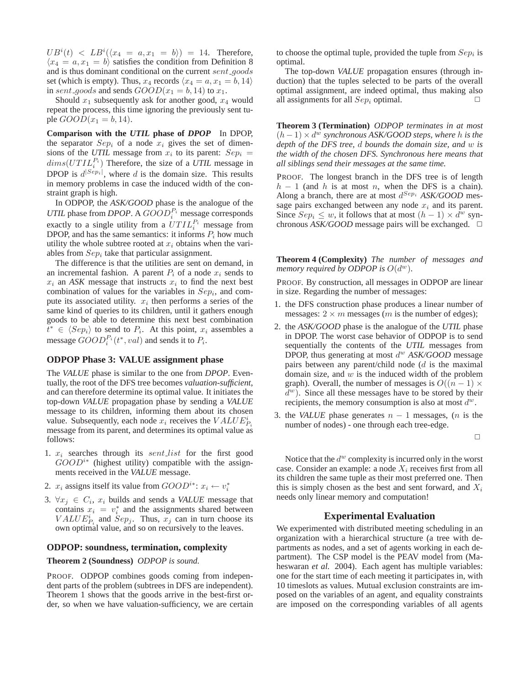$UB<sup>i</sup>(t) < LB<sup>i</sup>(\langle x_4 = a, x_1 = b \rangle) = 14$ . Therefore,  $\langle x_4 = a, x_1 = b \rangle$  satisfies the condition from Definition 8 and is thus dominant conditional on the current sent\_goods set (which is empty). Thus,  $x_4$  records  $\langle x_4 = a, x_1 = b, 14 \rangle$ in sent\_goods and sends  $GOOD(x_1 = b, 14)$  to  $x_1$ .

Should  $x_1$  subsequently ask for another good,  $x_4$  would repeat the process, this time ignoring the previously sent tuple  $GOOD(x_1 = b, 14)$ .

**Comparison with the** *UTIL* **phase of** *DPOP* In DPOP, the separator  $Sep<sub>i</sub>$  of a node  $x<sub>i</sub>$  gives the set of dimensions of the *UTIL* message from  $x_i$  to its parent:  $Sep_i =$  $dims(UTIL_i^{P_i})$  Therefore, the size of a *UTIL* message in DPOP is  $d^{|Sep_i|}$ , where d is the domain size. This results in memory problems in case the induced width of the constraint graph is high.

In ODPOP, the *ASK/GOOD* phase is the analogue of the  $UTIL$  phase from *DPOP*. A  $GOOD_i^P_i$  message corresponds exactly to a single utility from a  $UTIL_i^{P_i}$  message from DPOP, and has the same semantics: it informs  $P_i$  how much utility the whole subtree rooted at  $x_i$  obtains when the variables from  $Sep_i$  take that particular assignment.

The difference is that the utilities are sent on demand, in an incremental fashion. A parent  $P_i$  of a node  $x_i$  sends to  $x_i$  an *ASK* message that instructs  $x_i$  to find the next best combination of values for the variables in  $Sep<sub>i</sub>$ , and compute its associated utility.  $x_i$  then performs a series of the same kind of queries to its children, until it gathers enough goods to be able to determine this next best combination  $\overline{t}^* \in \langle \overline{Sep}_i \rangle$  to send to  $P_i$ . At this point,  $x_i$  assembles a message  $GOOD_i^{P_i}(t^*, val)$  and sends it to  $P_i$ .

## **ODPOP Phase 3: VALUE assignment phase**

The *VALUE* phase is similar to the one from *DPOP*. Eventually, the root of the DFS tree becomes *valuation-sufficient*, and can therefore determine its optimal value. It initiates the top-down *VALUE* propagation phase by sending a *VALUE* message to its children, informing them about its chosen value. Subsequently, each node  $x_i$  receives the  $VALUEP_i^i$ message from its parent, and determines its optimal value as follows:

- 1.  $x_i$  searches through its *sent list* for the first good  $GOOD^{i*}$  (highest utility) compatible with the assignments received in the *VALUE* message.
- 2.  $x_i$  assigns itself its value from  $GOOD^{i*}: x_i \leftarrow v_i^*$
- 3.  $\forall x_j \in C_i$ ,  $x_i$  builds and sends a *VALUE* message that contains  $x_i = v_i^*$  and the assignments shared between  $VALU E_{P_i}^i$  and  $Sep_j$ . Thus,  $x_j$  can in turn choose its own optimal value, and so on recursively to the leaves.

### **ODPOP: soundness, termination, complexity**

# **Theorem 2 (Soundness)** *ODPOP is sound.*

PROOF. ODPOP combines goods coming from independent parts of the problem (subtrees in DFS are independent). Theorem 1 shows that the goods arrive in the best-first order, so when we have valuation-sufficiency, we are certain

to choose the optimal tuple, provided the tuple from  $Sep_i$  is optimal.

The top-down *VALUE* propagation ensures (through induction) that the tuples selected to be parts of the overall optimal assignment, are indeed optimal, thus making also all assignments for all  $Sep<sub>i</sub>$  optimal.

**Theorem 3 (Termination)** *ODPOP terminates in at most*  $(h-1) \times d^w$  synchronous ASK/GOOD steps, where h is the *depth of the DFS tree,* d *bounds the domain size, and* w *is the width of the chosen DFS. Synchronous here means that all siblings send their messages at the same time.*

PROOF. The longest branch in the DFS tree is of length  $h - 1$  (and h is at most n, when the DFS is a chain). Along a branch, there are at most d Sep<sup>i</sup> *ASK/GOOD* message pairs exchanged between any node  $x_i$  and its parent. Since  $Sep_i \leq w$ , it follows that at most  $(h-1) \times d^w$  synchronous  $ASK/GOOD$  message pairs will be exchanged.  $\square$ 

**Theorem 4 (Complexity)** *The number of messages and memory required by ODPOP is*  $O(d^w)$ *.* 

PROOF. By construction, all messages in ODPOP are linear in size. Regarding the number of messages:

- 1. the DFS construction phase produces a linear number of messages:  $2 \times m$  messages (*m* is the number of edges);
- 2. the *ASK/GOOD* phase is the analogue of the *UTIL* phase in DPOP. The worst case behavior of ODPOP is to send sequentially the contents of the *UTIL* messages from DPOP, thus generating at most d <sup>w</sup> *ASK/GOOD* message pairs between any parent/child node (d is the maximal domain size, and  $w$  is the induced width of the problem graph). Overall, the number of messages is  $O((n-1) \times$  $\overline{d^w}$ ). Since all these messages have to be stored by their recipients, the memory consumption is also at most  $d^w$ .
- 3. the *VALUE* phase generates  $n 1$  messages, (*n* is the number of nodes) - one through each tree-edge.

 $\Box$ 

Notice that the  $d^w$  complexity is incurred only in the worst case. Consider an example: a node  $X_i$  receives first from all its children the same tuple as their most preferred one. Then this is simply chosen as the best and sent forward, and  $X_i$ needs only linear memory and computation!

### **Experimental Evaluation**

We experimented with distributed meeting scheduling in an organization with a hierarchical structure (a tree with departments as nodes, and a set of agents working in each department). The CSP model is the PEAV model from (Maheswaran *et al.* 2004). Each agent has multiple variables: one for the start time of each meeting it participates in, with 10 timeslots as values. Mutual exclusion constraints are imposed on the variables of an agent, and equality constraints are imposed on the corresponding variables of all agents